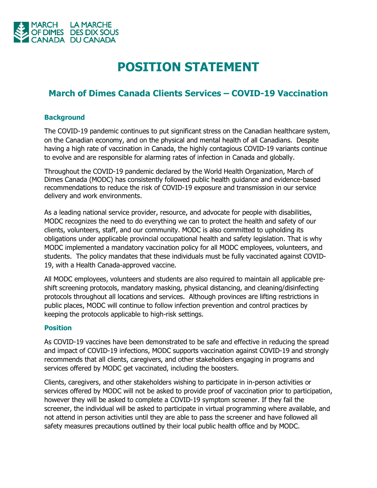

## **POSITION STATEMENT**

## **March of Dimes Canada Clients Services – COVID-19 Vaccination**

## **Background**

The COVID-19 pandemic continues to put significant stress on the Canadian healthcare system, on the Canadian economy, and on the physical and mental health of all Canadians. Despite having a high rate of vaccination in Canada, the highly contagious COVID-19 variants continue to evolve and are responsible for alarming rates of infection in Canada and globally.

Throughout the COVID-19 pandemic declared by the World Health Organization, March of Dimes Canada (MODC) has consistently followed public health guidance and evidence-based recommendations to reduce the risk of COVID-19 exposure and transmission in our service delivery and work environments.

As a leading national service provider, resource, and advocate for people with disabilities, MODC recognizes the need to do everything we can to protect the health and safety of our clients, volunteers, staff, and our community. MODC is also committed to upholding its obligations under applicable provincial occupational health and safety legislation. That is why MODC implemented a mandatory vaccination policy for all MODC employees, volunteers, and students. The policy mandates that these individuals must be fully vaccinated against COVID-19, with a Health Canada-approved vaccine.

All MODC employees, volunteers and students are also required to maintain all applicable preshift screening protocols, mandatory masking, physical distancing, and cleaning/disinfecting protocols throughout all locations and services. Although provinces are lifting restrictions in public places, MODC will continue to follow infection prevention and control practices by keeping the protocols applicable to high-risk settings.

## **Position**

As COVID-19 vaccines have been demonstrated to be safe and effective in reducing the spread and impact of COVID-19 infections, MODC supports vaccination against COVID-19 and strongly recommends that all clients, caregivers, and other stakeholders engaging in programs and services offered by MODC get vaccinated, including the boosters.

Clients, caregivers, and other stakeholders wishing to participate in in-person activities or services offered by MODC will not be asked to provide proof of vaccination prior to participation, however they will be asked to complete a COVID-19 symptom screener. If they fail the screener, the individual will be asked to participate in virtual programming where available, and not attend in person activities until they are able to pass the screener and have followed all safety measures precautions outlined by their local public health office and by MODC.